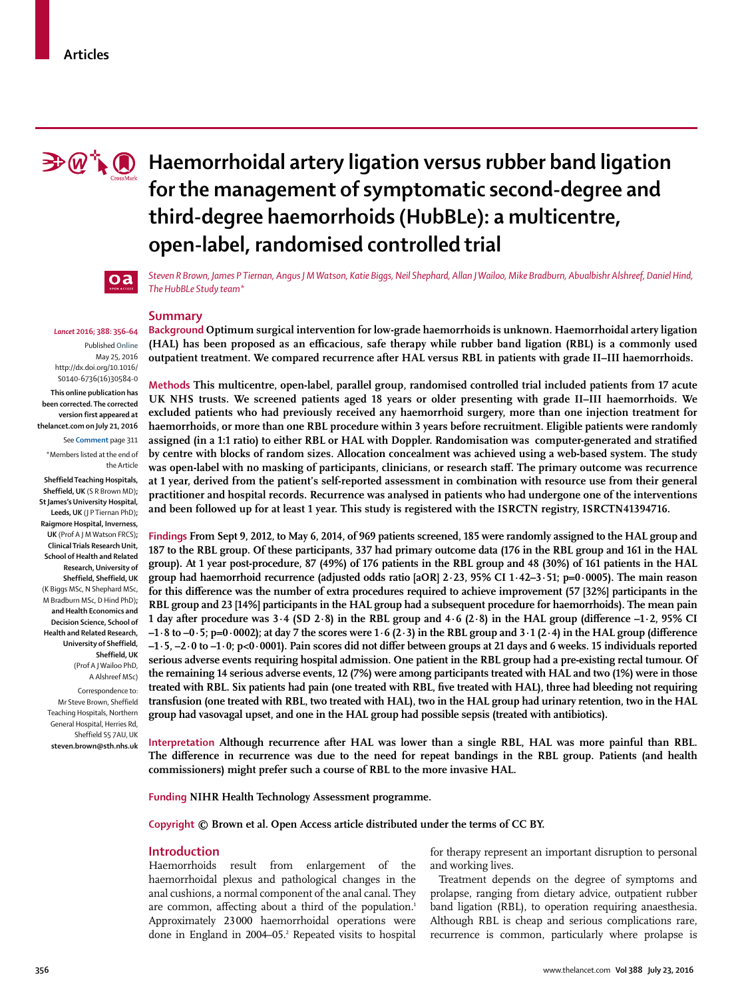

# $\mathbf{P} \mathcal{P} \setminus \mathcal{P}$  Haemorrhoidal artery ligation versus rubber band ligation **for the management of symptomatic second-degree and third-degree haemorrhoids (HubBLe): a multicentre, open-label, randomised controlled trial**



*Steven R Brown, James P Tiernan, Angus J M Watson, Katie Biggs, Neil Shephard, Allan J Wailoo, Mike Bradburn, Abualbishr Alshreef, Daniel Hind, The HubBLe Study team\**

# **Summary**

*Lancet* **2016; 388: 356–64** Published **Online** May 25, 2016 http://dx.doi.org/10.1016/ S0140-6736(16)30584-0

**This online publication has been corrected. The corrected version first appeared at thelancet.com on July 21, 2016**

See **Comment** page 311

\*Members listed at the end of the Article

**Sheffield Teaching Hospitals, Sheffield, UK** (S R Brown MD)**; St James's University Hospital, Leeds, UK** (J P Tiernan PhD)**; Raigmore Hospital, Inverness, UK** (Prof A J M Watson FRCS)**; Clinical Trials Research Unit, School of Health and Related Research, University of Sheffield, Sheffield, UK** (K Biggs MSc, N Shephard MSc, M Bradburn MSc, D Hind PhD)**; and Health Economics and Decision Science, School of Health and Related Research, University of Sheffield, Sheffield, UK** (Prof A J Wailoo PhD, A Alshreef MSc)

Correspondence to: Mr Steve Brown, Sheffield Teaching Hospitals, Northern General Hospital, Herries Rd, Sheffield S5 7AU, UK **steven.brown@sth.nhs.uk** **Background Optimum surgical intervention for low-grade haemorrhoids is unknown. Haemorrhoidal artery ligation**  (HAL) has been proposed as an efficacious, safe therapy while rubber band ligation (RBL) is a commonly used **outpatient treatment. We compared recurrence after HAL versus RBL in patients with grade II–III haemorrhoids.**

**Methods This multicentre, open-label, parallel group, randomised controlled trial included patients from 17 acute UK NHS trusts. We screened patients aged 18 years or older presenting with grade II–III haemorrhoids. We excluded patients who had previously received any haemorrhoid surgery, more than one injection treatment for haemorrhoids, or more than one RBL procedure within 3 years before recruitment. Eligible patients were randomly**  assigned (in a 1:1 ratio) to either RBL or HAL with Doppler. Randomisation was computer-generated and stratified **by centre with blocks of random sizes. Allocation concealment was achieved using a web-based system. The study**  was open-label with no masking of participants, clinicians, or research staff. The primary outcome was recurrence **at 1 year, derived from the patient's self-reported assessment in combination with resource use from their general practitioner and hospital records. Recurrence was analysed in patients who had undergone one of the interventions and been followed up for at least 1 year. This study is registered with the ISRCTN registry, ISRCTN41394716.**

**Findings From Sept 9, 2012, to May 6, 2014, of 969 patients screened, 185 were randomly assigned to the HAL group and 187 to the RBL group. Of these participants, 337 had primary outcome data (176 in the RBL group and 161 in the HAL group). At 1 year post-procedure, 87 (49%) of 176 patients in the RBL group and 48 (30%) of 161 patients in the HAL group had haemorrhoid recurrence (adjusted odds ratio [aOR] 2·23, 95% CI 1·42–3·51; p=0·0005). The main reason** for this difference was the number of extra procedures required to achieve improvement (57 [32%] participants in the **RBL group and 23 [14%] participants in the HAL group had a subsequent procedure for haemorrhoids). The mean pain 1 day after procedure was**  $3.4$  **(SD**  $2.8$ **) in the RBL group and**  $4.6$  **(** $2.8$ **) in the HAL group (difference**  $-1.2$ **,**  $95\%$  **CI**  $-1.8$  to  $-0.5$ ; p=0.0002); at day 7 the scores were  $1.6$  (2.3) in the RBL group and  $3.1$  (2.4) in the HAL group (difference  $-1.5$ ,  $-2.0$  to  $-1.0$ ; p<0.0001). Pain scores did not differ between groups at 21 days and 6 weeks. 15 individuals reported **serious adverse events requiring hospital admission. One patient in the RBL group had a pre-existing rectal tumour. Of the remaining 14 serious adverse events, 12 (7%) were among participants treated with HAL and two (1%) were in those treated with RBL. Six patients had pain (one treated with RBL, five treated with HAL), three had bleeding not requiring transfusion (one treated with RBL, two treated with HAL), two in the HAL group had urinary retention, two in the HAL group had vasovagal upset, and one in the HAL group had possible sepsis (treated with antibiotics).** 

**Interpretation Although recurrence after HAL was lower than a single RBL, HAL was more painful than RBL. The difference in recurrence was due to the need for repeat bandings in the RBL group. Patients (and health commissioners) might prefer such a course of RBL to the more invasive HAL.**

**Funding NIHR Health Technology Assessment programme.**

**Copyright © Brown et al. Open Access article distributed under the terms of CC BY.**

#### **Introduction**

Haemorrhoids result from enlargement of the haemorrhoidal plexus and pathological changes in the anal cushions, a normal component of the anal canal. They are common, affecting about a third of the population.<sup>1</sup> Approximately 23 000 haemorrhoidal operations were done in England in 2004–05.<sup>2</sup> Repeated visits to hospital

for therapy represent an important disruption to personal and working lives.

Treatment depends on the degree of symptoms and prolapse, ranging from dietary advice, outpatient rubber band ligation (RBL), to operation requiring anaesthesia. Although RBL is cheap and serious complications rare, recurrence is common, particularly where prolapse is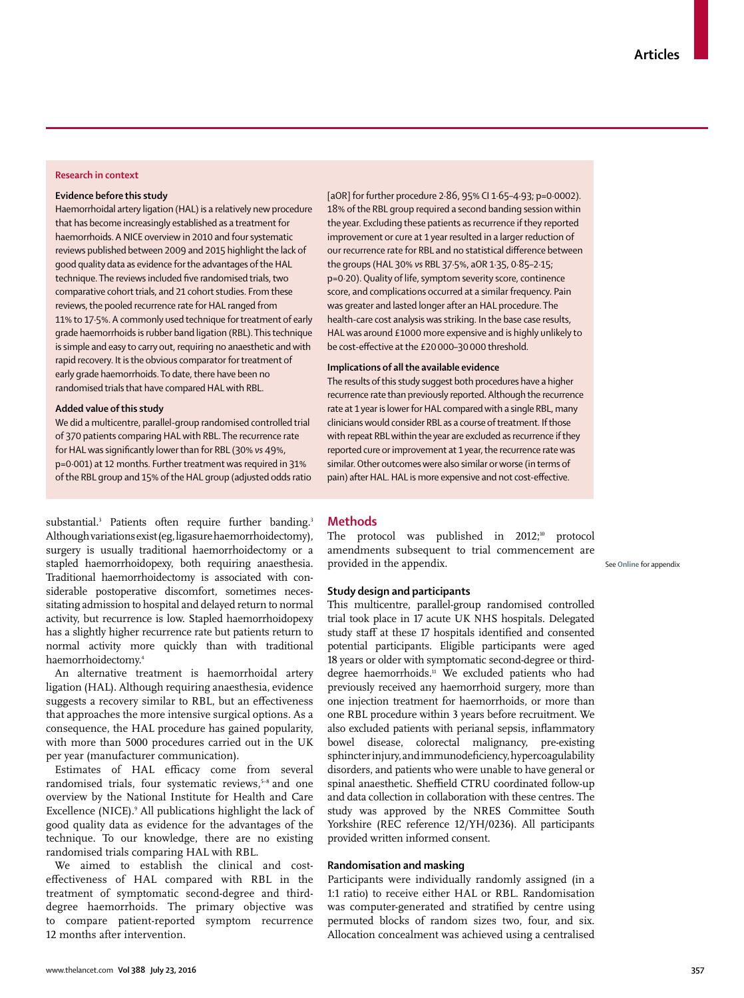# **Research in context**

## **Evidence before this study**

Haemorrhoidal artery ligation (HAL) is a relatively new procedure that has become increasingly established as a treatment for haemorrhoids. A NICE overview in 2010 and four systematic reviews published between 2009 and 2015 highlight the lack of good quality data as evidence for the advantages of the HAL technique. The reviews included five randomised trials, two comparative cohort trials, and 21 cohort studies. From these reviews, the pooled recurrence rate for HAL ranged from 11% to 17·5%. A commonly used technique for treatment of early grade haemorrhoids is rubber band ligation (RBL). This technique is simple and easy to carry out, requiring no anaesthetic and with rapid recovery. It is the obvious comparator for treatment of early grade haemorrhoids. To date, there have been no randomised trials that have compared HAL with RBL.

#### **Added value of this study**

We did a multicentre, parallel-group randomised controlled trial of 370 patients comparing HAL with RBL. The recurrence rate for HAL was significantly lower than for RBL (30% *vs* 49%, p=0·001) at 12 months. Further treatment was required in 31% of the RBL group and 15% of the HAL group (adjusted odds ratio

substantial.<sup>3</sup> Patients often require further banding.<sup>3</sup> Although variations exist (eg, ligasure haemorrhoidectomy), surgery is usually traditional haemorrhoidectomy or a stapled haemorrhoidopexy, both requiring anaesthesia. Traditional haemorrhoidectomy is associated with considerable postoperative discomfort, sometimes necessitating admission to hospital and delayed return to normal activity, but recurrence is low. Stapled haemorrhoid opexy has a slightly higher recurrence rate but patients return to normal activity more quickly than with traditional haemorrhoidectomy.4

An alternative treatment is haemorrhoidal artery ligation (HAL). Although requiring anaesthesia, evidence suggests a recovery similar to RBL, but an effectiveness that approaches the more intensive surgical options. As a consequence, the HAL procedure has gained popularity, with more than 5000 procedures carried out in the UK per year (manufacturer communication).

Estimates of HAL efficacy come from several randomised trials, four systematic reviews,<sup>5-8</sup> and one overview by the National Institute for Health and Care Excellence (NICE).<sup>9</sup> All publications highlight the lack of good quality data as evidence for the advantages of the technique. To our knowledge, there are no existing randomised trials comparing HAL with RBL.

We aimed to establish the clinical and costeffectiveness of HAL compared with RBL in the treatment of symptomatic second-degree and thirddegree haemorrhoids. The primary objective was to compare patient-reported symptom recurrence 12 months after intervention.

[aOR] for further procedure 2·86, 95% CI 1·65–4·93; p=0·0002). 18% of the RBL group required a second banding session within the year. Excluding these patients as recurrence if they reported improvement or cure at 1 year resulted in a larger reduction of our recurrence rate for RBL and no statistical difference between the groups (HAL 30% *vs* RBL 37·5%, aOR 1·35, 0·85–2·15; p=0·20). Quality of life, symptom severity score, continence score, and complications occurred at a similar frequency. Pain was greater and lasted longer after an HAL procedure. The health-care cost analysis was striking. In the base case results, HAL was around £1000 more expensive and is highly unlikely to be cost-effective at the £20 000-30 000 threshold.

# **Implications of all the available evidence**

The results of this study suggest both procedures have a higher recurrence rate than previously reported. Although the recurrence rate at 1 year is lower for HAL compared with a single RBL, many clinicians would consider RBL as a course of treatment. If those with repeat RBL within the year are excluded as recurrence if they reported cure or improvement at 1 year, the recurrence rate was similar. Other outcomes were also similar or worse (in terms of pain) after HAL. HAL is more expensive and not cost-effective.

# **Methods**

The protocol was published in 2012;<sup>10</sup> protocol amendments subsequent to trial commencement are provided in the appendix.

See **Online** for appendix

## **Study design and participants**

This multicentre, parallel-group randomised controlled trial took place in 17 acute UK NHS hospitals. Delegated study staff at these 17 hospitals identified and consented potential participants. Eligible participants were aged 18 years or older with symptomatic second-degree or thirddegree haemorrhoids.<sup>11</sup> We excluded patients who had previously received any haemorrhoid surgery, more than one injection treatment for haemorrhoids, or more than one RBL procedure within 3 years before recruitment. We also excluded patients with perianal sepsis, inflammatory bowel disease, colorectal malignancy, pre-existing sphincter injury, and immuno deficiency, hypercoagulability disorders, and patients who were unable to have general or spinal anaesthetic. Sheffield CTRU coordinated follow-up and data collection in collaboration with these centres. The study was approved by the NRES Committee South Yorkshire (REC reference 12/YH/0236). All participants provided written informed consent.

## **Randomisation and masking**

Participants were individually randomly assigned (in a 1:1 ratio) to receive either HAL or RBL. Randomisation was computer-generated and stratified by centre using permuted blocks of random sizes two, four, and six. Allocation concealment was achieved using a centralised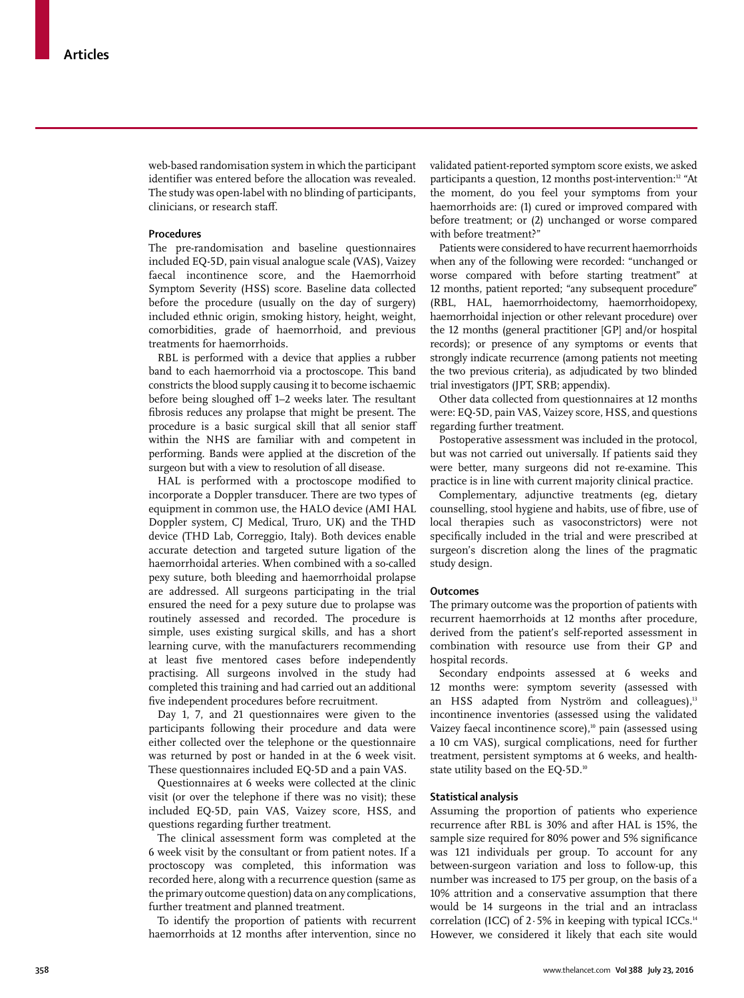web-based randomisation system in which the participant identifier was entered before the allocation was revealed. The study was open-label with no blinding of participants, clinicians, or research staff.

# **Procedures**

The pre-randomisation and baseline questionnaires included EQ-5D, pain visual analogue scale (VAS), Vaizey faecal incontinence score, and the Haemorrhoid Symptom Severity (HSS) score. Baseline data collected before the procedure (usually on the day of surgery) included ethnic origin, smoking history, height, weight, comorbidities, grade of haemorrhoid, and previous treatments for haemorrhoids.

RBL is performed with a device that applies a rubber band to each haemorrhoid via a proctoscope. This band constricts the blood supply causing it to become ischaemic before being sloughed off 1–2 weeks later. The resultant fibrosis reduces any prolapse that might be present. The procedure is a basic surgical skill that all senior staff within the NHS are familiar with and competent in performing. Bands were applied at the discretion of the surgeon but with a view to resolution of all disease.

HAL is performed with a proctoscope modified to incorporate a Doppler transducer. There are two types of equipment in common use, the HALO device (AMI HAL Doppler system, CJ Medical, Truro, UK) and the THD device (THD Lab, Correggio, Italy). Both devices enable accurate detection and targeted suture ligation of the haemorrhoidal arteries. When combined with a so-called pexy suture, both bleeding and haemorrhoidal prolapse are addressed. All surgeons participating in the trial ensured the need for a pexy suture due to prolapse was routinely assessed and recorded. The procedure is simple, uses existing surgical skills, and has a short learning curve, with the manufacturers recommending at least five mentored cases before independently practising. All surgeons involved in the study had completed this training and had carried out an additional five independent procedures before recruitment.

Day 1, 7, and 21 questionnaires were given to the participants following their procedure and data were either collected over the telephone or the questionnaire was returned by post or handed in at the 6 week visit. These questionnaires included EQ-5D and a pain VAS.

Questionnaires at 6 weeks were collected at the clinic visit (or over the telephone if there was no visit); these included EQ-5D, pain VAS, Vaizey score, HSS, and questions regarding further treatment.

The clinical assessment form was completed at the 6 week visit by the consultant or from patient notes. If a proctoscopy was completed, this information was recorded here, along with a recurrence question (same as the primary outcome question) data on any complications, further treatment and planned treatment.

To identify the proportion of patients with recurrent haemorrhoids at 12 months after intervention, since no validated patient-reported symptom score exists, we asked participants a question, 12 months post-intervention:<sup>12</sup> "At the moment, do you feel your symptoms from your haemorrhoids are: (1) cured or improved compared with before treatment; or (2) unchanged or worse compared with before treatment?

Patients were considered to have recurrent haemorrhoids when any of the following were recorded: "unchanged or worse compared with before starting treatment" at 12 months, patient reported; "any subsequent procedure" (RBL, HAL, haemorrhoidectomy, haemorrhoidopexy, haemorrhoidal injection or other relevant procedure) over the 12 months (general practitioner [GP] and/or hospital records); or presence of any symptoms or events that strongly indicate recurrence (among patients not meeting the two previous criteria), as adjudicated by two blinded trial investigators (JPT, SRB; appendix).

Other data collected from questionnaires at 12 months were: EQ-5D, pain VAS, Vaizey score, HSS, and questions regarding further treatment.

Postoperative assessment was included in the protocol, but was not carried out universally. If patients said they were better, many surgeons did not re-examine. This practice is in line with current majority clinical practice.

Complementary, adjunctive treatments (eg, dietary counselling, stool hygiene and habits, use of fibre, use of local therapies such as vasoconstrictors) were not specifically included in the trial and were prescribed at surgeon's discretion along the lines of the pragmatic study design.

#### **Outcomes**

The primary outcome was the proportion of patients with recurrent haemorrhoids at 12 months after procedure, derived from the patient's self-reported assessment in combination with resource use from their GP and hospital records.

Secondary endpoints assessed at 6 weeks and 12 months were: symptom severity (assessed with an HSS adapted from Nyström and colleagues),<sup>13</sup> incontinence inventories (assessed using the validated Vaizey faecal incontinence score),<sup>10</sup> pain (assessed using a 10 cm VAS), surgical complications, need for further treatment, persistent symptoms at 6 weeks, and healthstate utility based on the EQ-5D.<sup>10</sup>

#### **Statistical analysis**

Assuming the proportion of patients who experience recurrence after RBL is 30% and after HAL is 15%, the sample size required for 80% power and 5% significance was 121 individuals per group. To account for any between-surgeon variation and loss to follow-up, this number was increased to 175 per group, on the basis of a 10% attrition and a conservative assumption that there would be 14 surgeons in the trial and an intraclass correlation (ICC) of  $2.5\%$  in keeping with typical ICCs.<sup>14</sup> However, we considered it likely that each site would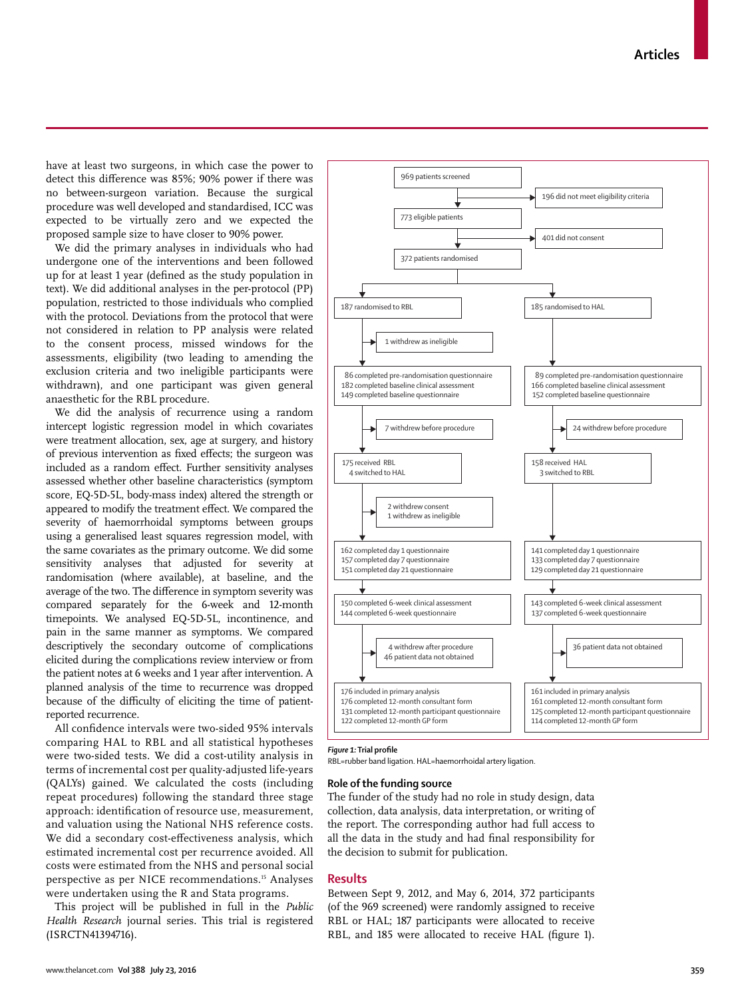www.thelancet.com**Vol 388 July 23, 2016 359**

have at least two surgeons, in which case the power to detect this difference was 85%; 90% power if there was no between-surgeon variation. Because the surgical procedure was well developed and standardised, ICC was expected to be virtually zero and we expected the proposed sample size to have closer to 90% power.

We did the primary analyses in individuals who had undergone one of the interventions and been followed up for at least 1 year (defined as the study population in text). We did additional analyses in the per-protocol (PP) population, restricted to those individuals who complied with the protocol. Deviations from the protocol that were not considered in relation to PP analysis were related to the consent process, missed windows for the assessments, eligibility (two leading to amending the exclusion criteria and two ineligible participants were withdrawn), and one participant was given general anaesthetic for the RBL procedure.

We did the analysis of recurrence using a random intercept logistic regression model in which covariates were treatment allocation, sex, age at surgery, and history of previous intervention as fixed effects; the surgeon was included as a random effect. Further sensitivity analyses assessed whether other baseline characteristics (symptom score, EQ-5D-5L, body-mass index) altered the strength or appeared to modify the treatment effect. We compared the severity of haemorrhoidal symptoms between groups using a generalised least squares regression model, with the same covariates as the primary outcome. We did some sensitivity analyses that adjusted for severity at randomisation (where available), at baseline, and the average of the two. The difference in symptom severity was compared separately for the 6-week and 12-month timepoints. We analysed EQ-5D-5L, incontinence, and pain in the same manner as symptoms. We compared descriptively the secondary outcome of complications elicited during the complications review interview or from the patient notes at 6 weeks and 1 year after intervention. A planned analysis of the time to recurrence was dropped because of the difficulty of eliciting the time of patientreported recurrence.

All confidence intervals were two-sided 95% intervals comparing HAL to RBL and all statistical hypotheses were two-sided tests. We did a cost-utility analysis in terms of incremental cost per quality-adjusted life-years (QALYs) gained. We calculated the costs (including repeat procedures) following the standard three stage approach: identification of resource use, measurement, and valuation using the National NHS reference costs. We did a secondary cost-effectiveness analysis, which estimated incremental cost per recurrence avoided. All costs were estimated from the NHS and personal social perspective as per NICE recommendations.<sup>15</sup> Analyses were undertaken using the R and Stata programs.

This project will be published in full in the *Public Health Research* journal series. This trial is registered (ISRCTN41394716).



# **Figure 1:** Trial profile

RBL=rubber band ligation. HAL=haemorrhoidal artery ligation.

969 patients screened

# **Role of the funding source**

The funder of the study had no role in study design, data collection, data analysis, data interpretation, or writing of the report. The corresponding author had full access to all the data in the study and had final responsibility for the decision to submit for publication.

# **Results**

Between Sept 9, 2012, and May 6, 2014, 372 participants (of the 969 screened) were randomly assigned to receive RBL or HAL; 187 participants were allocated to receive RBL, and 185 were allocated to receive HAL (figure 1).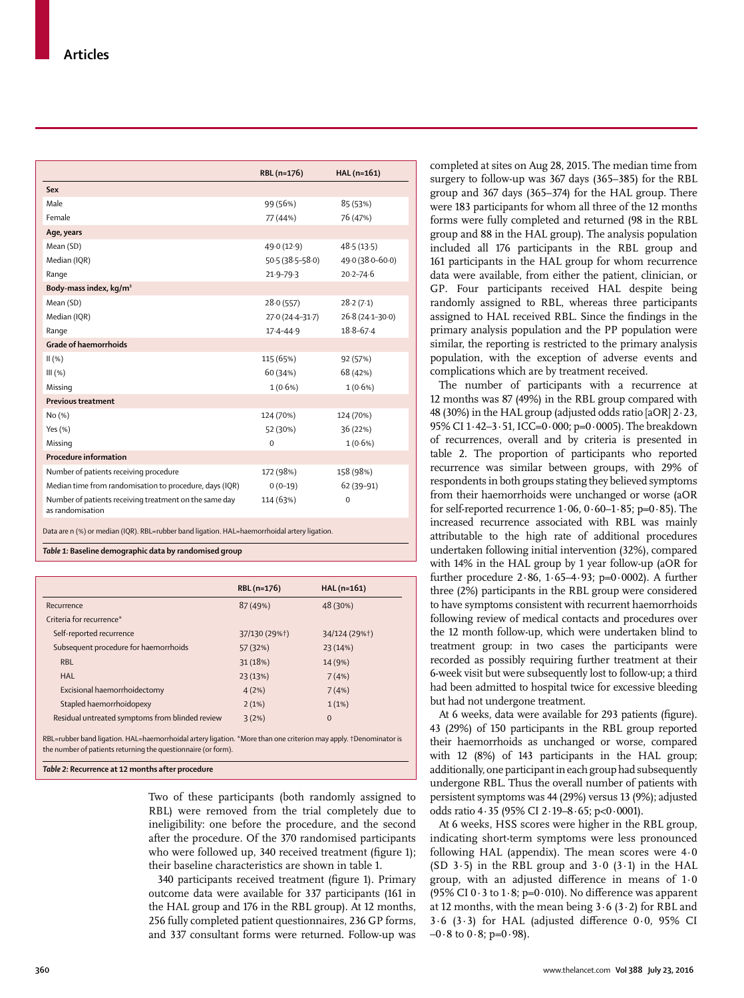|                                                                            | RBL (n=176)         | HAL (n=161)      |
|----------------------------------------------------------------------------|---------------------|------------------|
| Sex                                                                        |                     |                  |
| Male                                                                       | 99 (56%)            | 85 (53%)         |
| Female                                                                     | 77 (44%)            | 76 (47%)         |
| Age, years                                                                 |                     |                  |
| Mean (SD)                                                                  | 49.0 (12.9)         | 48.5(13.5)       |
| Median (IQR)                                                               | $50.5(38.5 - 58.0)$ | 49.0 (38.0-60.0) |
| Range                                                                      | $21.9 - 79.3$       | $20.2 - 74.6$    |
| Body-mass index, kg/m <sup>2</sup>                                         |                     |                  |
| Mean (SD)                                                                  | 28.0(557)           | 28.2(7.1)        |
| Median (IQR)                                                               | 27.0 (24.4-31.7)    | 26.8 (24.1-30.0) |
| Range                                                                      | $17.4 - 44.9$       | $18.8 - 67.4$    |
| <b>Grade of haemorrhoids</b>                                               |                     |                  |
| II(% )                                                                     | 115 (65%)           | 92 (57%)         |
| III(%)                                                                     | 60 (34%)            | 68 (42%)         |
| Missing                                                                    | $1(0.6\%)$          | $1(0.6\%)$       |
| <b>Previous treatment</b>                                                  |                     |                  |
| No(%)                                                                      | 124 (70%)           | 124 (70%)        |
| Yes $(\% )$                                                                | 52 (30%)            | 36(22%)          |
| Missing                                                                    | $\Omega$            | $1(0.6\%)$       |
| <b>Procedure information</b>                                               |                     |                  |
| Number of patients receiving procedure                                     | 172 (98%)           | 158 (98%)        |
| Median time from randomisation to procedure, days (IQR)                    | $0(0-19)$           | 62 (39-91)       |
| Number of patients receiving treatment on the same day<br>as randomisation | 114 (63%)           | $\Omega$         |

Data are n (%) or median (IQR). RBL=rubber band ligation. HAL=haemorrhoidal artery ligation.

*Table 1:* **Baseline demographic data by randomised group**

|                                                 | RBL (n=176)   | $HAL(n=161)$  |
|-------------------------------------------------|---------------|---------------|
| Recurrence                                      | 87 (49%)      | 48 (30%)      |
| Criteria for recurrence*                        |               |               |
| Self-reported recurrence                        | 37/130 (29%†) | 34/124 (29%†) |
| Subsequent procedure for haemorrhoids           | 57 (32%)      | 23 (14%)      |
| <b>RBL</b>                                      | 31 (18%)      | 14 (9%)       |
| <b>HAL</b>                                      | 23 (13%)      | 7(4%)         |
| Excisional haemorrhoidectomy                    | 4(2%)         | 7(4%)         |
| Stapled haemorrhoidopexy                        | 2(1%)         | 1(1%)         |
| Residual untreated symptoms from blinded review | 3(2%)         | $\Omega$      |

RBL=rubber band ligation. HAL=haemorrhoidal artery ligation. \*More than one criterion may apply. †Denominator is the number of patients returning the questionnaire (or form).

*Table 2:* **Recurrence at 12 months after procedure**

Two of these participants (both randomly assigned to RBL) were removed from the trial completely due to ineligibility: one before the procedure, and the second after the procedure. Of the 370 randomised participants who were followed up, 340 received treatment (figure 1); their baseline characteristics are shown in table 1.

340 participants received treatment (figure 1). Primary outcome data were available for 337 participants (161 in the HAL group and 176 in the RBL group). At 12 months, 256 fully completed patient questionnaires, 236 GP forms, and 337 consultant forms were returned. Follow-up was completed at sites on Aug 28, 2015. The median time from surgery to follow-up was 367 days (365–385) for the RBL group and 367 days (365–374) for the HAL group. There were 183 participants for whom all three of the 12 months forms were fully completed and returned (98 in the RBL group and 88 in the HAL group). The analysis population included all 176 participants in the RBL group and 161 participants in the HAL group for whom recurrence data were available, from either the patient, clinician, or GP. Four participants received HAL despite being randomly assigned to RBL, whereas three participants assigned to HAL received RBL. Since the findings in the primary analysis population and the PP population were similar, the reporting is restricted to the primary analysis population, with the exception of adverse events and complications which are by treatment received.

The number of participants with a recurrence at 12 months was 87 (49%) in the RBL group compared with 48 (30%) in the HAL group (adjusted odds ratio [aOR] 2·23, 95% CI 1·42–3·51, ICC=0·000; p=0·0005). The breakdown of recurrences, overall and by criteria is presented in table 2. The proportion of participants who reported recurrence was similar between groups, with 29% of respondents in both groups stating they believed symptoms from their haemorrhoids were unchanged or worse (aOR for self-reported recurrence  $1.06, 0.60 - 1.85$ ; p=0.85). The increased recurrence associated with RBL was mainly attributable to the high rate of additional procedures undertaken following initial intervention (32%), compared with 14% in the HAL group by 1 year follow-up (aOR for further procedure  $2.86, 1.65 - 4.93$ ; p=0.0002). A further three (2%) participants in the RBL group were considered to have symptoms consistent with recurrent haemorrhoids following review of medical contacts and procedures over the 12 month follow-up, which were undertaken blind to treatment group: in two cases the participants were recorded as possibly requiring further treatment at their 6-week visit but were subsequently lost to follow-up; a third had been admitted to hospital twice for excessive bleeding but had not undergone treatment.

At 6 weeks, data were available for 293 patients (figure). 43 (29%) of 150 participants in the RBL group reported their haemorrhoids as unchanged or worse, compared with 12 (8%) of 143 participants in the HAL group; additionally, one participant in each group had subsequently undergone RBL. Thus the overall number of patients with persistent symptoms was 44 (29%) versus 13 (9%); adjusted odds ratio 4·35 (95% CI 2·19–8·65; p<0·0001).

At 6 weeks, HSS scores were higher in the RBL group, indicating short-term symptoms were less pronounced following HAL (appendix). The mean scores were 4·0 (SD  $3.5$ ) in the RBL group and  $3.0$  ( $3.1$ ) in the HAL group, with an adjusted difference in means of  $1.0$ (95% CI 0 $\cdot$  3 to 1 $\cdot$ 8; p=0 $\cdot$ 010). No difference was apparent at 12 months, with the mean being  $3.6$  ( $3.2$ ) for RBL and  $3.6$  ( $3.3$ ) for HAL (adjusted difference  $0.0$ ,  $95\%$  CI  $-0.8$  to  $0.8$ ; p= $0.98$ ).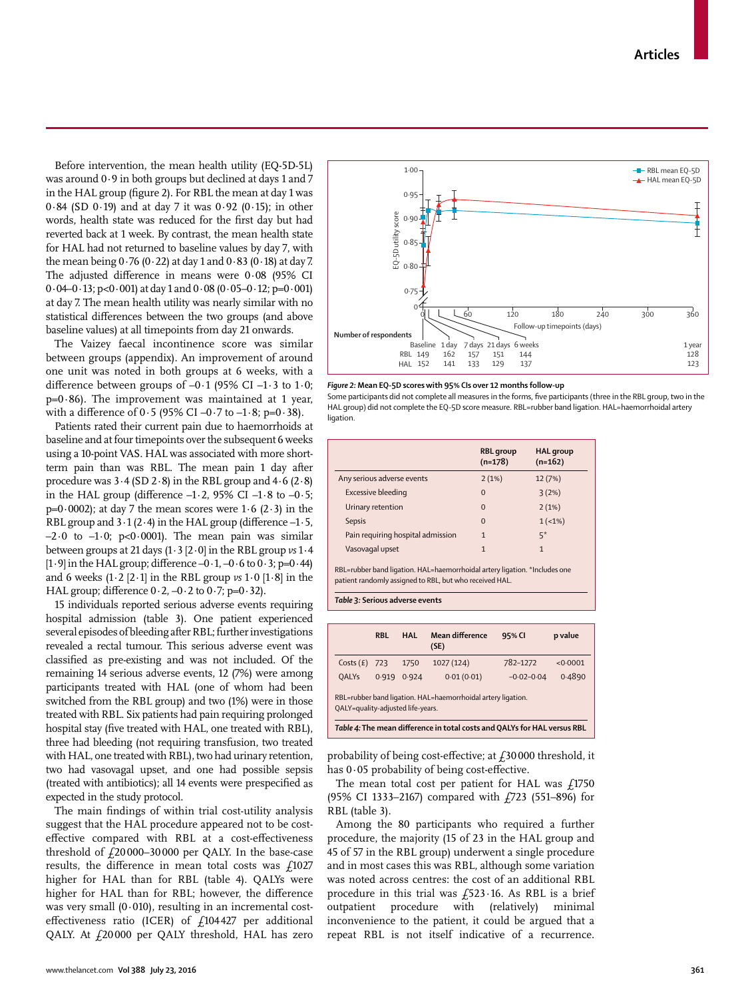Before intervention, the mean health utility (EQ-5D-5L) was around 0·9 in both groups but declined at days 1 and 7 in the HAL group (figure 2). For RBL the mean at day 1 was 0·84 (SD 0·19) and at day 7 it was 0·92 (0·15); in other words, health state was reduced for the first day but had reverted back at 1 week. By contrast, the mean health state for HAL had not returned to baseline values by day 7, with the mean being  $0.76$  (0 $\cdot$  22) at day 1 and  $0.83$  (0 $\cdot$  18) at day 7. The adjusted difference in means were  $0.08$  (95% CI  $0.04-0.13$ ; p< $0.001$ ) at day 1 and  $0.08$  (0.05-0.12; p= $0.001$ ) at day 7. The mean health utility was nearly similar with no statistical differences between the two groups (and above baseline values) at all timepoints from day 21 onwards.

The Vaizey faecal incontinence score was similar between groups (appendix). An improvement of around one unit was noted in both groups at 6 weeks, with a difference between groups of  $-0.1$  (95% CI  $-1.3$  to 1.0;  $p=0.86$ ). The improvement was maintained at 1 year, with a difference of  $0.5$  (95% CI –0.7 to –1.8; p=0.38).

Patients rated their current pain due to haemorrhoids at baseline and at four timepoints over the subsequent 6 weeks using a 10-point VAS. HAL was associated with more shortterm pain than was RBL. The mean pain 1 day after procedure was  $3.4$  (SD  $2.8$ ) in the RBL group and  $4.6$  (2 $.8$ ) in the HAL group (difference  $-1.2$ , 95% CI  $-1.8$  to  $-0.5$ ;  $p=0.0002$ ); at day 7 the mean scores were 1.6 (2.3) in the RBL group and  $3 \cdot 1$  (2 $\cdot$ 4) in the HAL group (difference  $-1 \cdot 5$ ,  $-2.0$  to  $-1.0$ ; p<0.0001). The mean pain was similar between groups at 21 days (1·3 [2·0] in the RBL group *vs* 1·4  $[1.9]$  in the HAL group; difference  $-0.1$ ,  $-0.6$  to  $0.3$ ; p=0.44) and 6 weeks  $(1\cdot2 [2\cdot1]$  in the RBL group  $\nu s \cdot 1\cdot 0$  [ $1\cdot 8$ ] in the HAL group; difference  $0.2$ ,  $-0.2$  to  $0.7$ ; p= $0.32$ ).

15 individuals reported serious adverse events requiring hospital admission (table 3). One patient experienced several episodes of bleeding after RBL; further investigations revealed a rectal tumour. This serious adverse event was classified as pre-existing and was not included. Of the remaining 14 serious adverse events, 12 (7%) were among participants treated with HAL (one of whom had been switched from the RBL group) and two (1%) were in those treated with RBL. Six patients had pain requiring prolonged hospital stay (five treated with HAL, one treated with RBL), three had bleeding (not requiring transfusion, two treated with HAL, one treated with RBL), two had urinary retention, two had vasovagal upset, and one had possible sepsis (treated with antibiotics); all 14 events were prespecified as expected in the study protocol.

The main findings of within trial cost-utility analysis suggest that the HAL procedure appeared not to be costeffective compared with RBL at a cost-effectiveness threshold of  $f$ 20000–30000 per QALY. In the base-case results, the difference in mean total costs was  $f1027$ higher for HAL than for RBL (table 4). QALYs were higher for HAL than for RBL; however, the difference was very small (0·010), resulting in an incremental costeffectiveness ratio (ICER) of  $f104427$  per additional QALY. At £20 000 per QALY threshold, HAL has zero



*Figure 2:* **Mean EQ-5D scores with 95% CIs over 12 months follow-up**

Some participants did not complete all measures in the forms, five participants (three in the RBL group, two in the HAL group) did not complete the EQ-5D score measure. RBL=rubber band ligation. HAL=haemorrhoidal artery ligation.

|                                                                            | <b>RBL</b> group<br>$(n=178)$ | <b>HAL</b> group<br>$(n=162)$ |  |  |  |
|----------------------------------------------------------------------------|-------------------------------|-------------------------------|--|--|--|
| Any serious adverse events                                                 | 2(1%)                         | 12(7%)                        |  |  |  |
| <b>Excessive bleeding</b>                                                  | $\Omega$                      | 3(2%)                         |  |  |  |
| Urinary retention                                                          | $\Omega$                      | 2(1%)                         |  |  |  |
| <b>Sepsis</b>                                                              | $\Omega$                      | $1(-1%)$                      |  |  |  |
| Pain requiring hospital admission                                          | $\mathbf{1}$                  | $5*$                          |  |  |  |
| Vasovagal upset                                                            | $\mathbf{1}$                  | $\mathbf{1}$                  |  |  |  |
| RBL=rubber band ligation. HAL=haemorrhoidal artery ligation. *Includes one |                               |                               |  |  |  |

patient randomly assigned to RBL, but who received HAL.



|                                                                                                   | <b>RBL</b> | HAI   | Mean difference<br>(SE) | 95% CI         | p value |  |  |  |
|---------------------------------------------------------------------------------------------------|------------|-------|-------------------------|----------------|---------|--|--|--|
| Costs(E)                                                                                          | 723        | 1750  | 1027 (124)              | 782-1272       | <0.0001 |  |  |  |
| <b>OALYs</b>                                                                                      | 0.919      | 0.924 | 0.01(0.01)              | $-0.02 - 0.04$ | 0.4890  |  |  |  |
| RBL=rubber band ligation. HAL=haemorrhoidal artery ligation.<br>OALY=quality-adjusted life-years. |            |       |                         |                |         |  |  |  |
| Table 4: The mean difference in total costs and QALYs for HAL versus RBL                          |            |       |                         |                |         |  |  |  |

probability of being cost-effective; at  $f$ 30 000 threshold, it has  $0.05$  probability of being cost-effective.

The mean total cost per patient for HAL was  $f_1$ 1750 (95% CI 1333–2167) compared with £723 (551–896) for RBL (table 3).

Among the 80 participants who required a further procedure, the majority (15 of 23 in the HAL group and 45 of 57 in the RBL group) underwent a single procedure and in most cases this was RBL, although some variation was noted across centres: the cost of an additional RBL procedure in this trial was  $f$ 523 $\cdot$ 16. As RBL is a brief outpatient procedure with (relatively) minimal inconvenience to the patient, it could be argued that a repeat RBL is not itself indicative of a recurrence.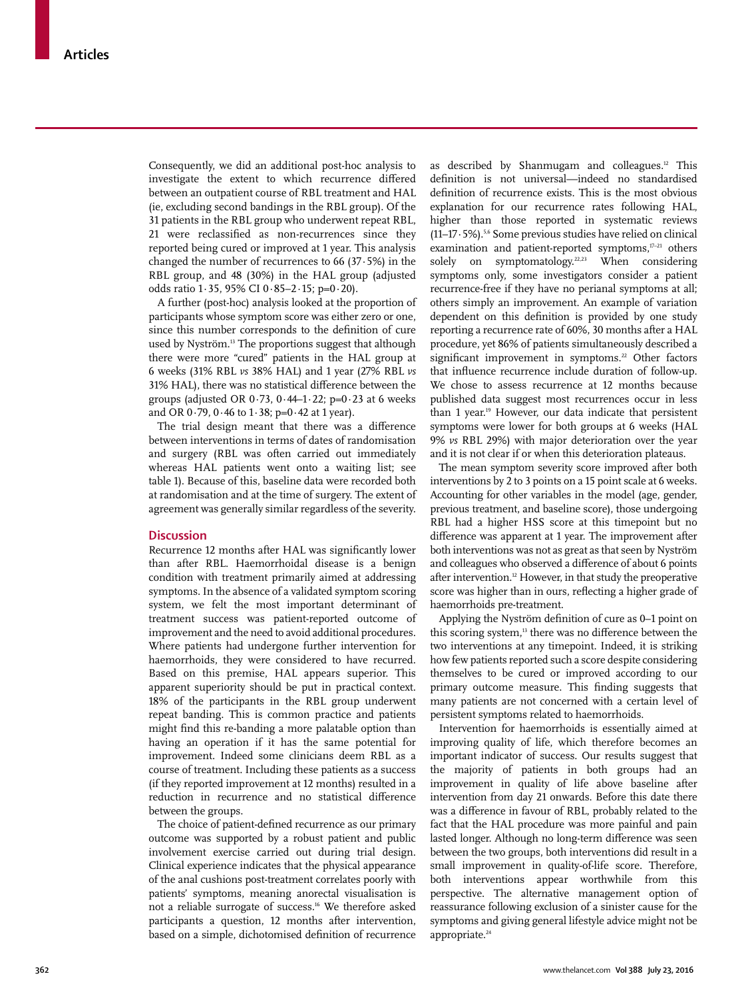Consequently, we did an additional post-hoc analysis to investigate the extent to which recurrence differed between an outpatient course of RBL treatment and HAL (ie, excluding second bandings in the RBL group). Of the 31 patients in the RBL group who underwent repeat RBL, 21 were reclassified as non-recurrences since they reported being cured or improved at 1 year. This analysis changed the number of recurrences to 66  $(37.5%)$  in the RBL group, and 48 (30%) in the HAL group (adjusted odds ratio 1·35, 95% CI 0·85–2·15; p=0·20).

A further (post-hoc) analysis looked at the proportion of participants whose symptom score was either zero or one, since this number corresponds to the definition of cure used by Nyström.<sup>13</sup> The proportions suggest that although there were more "cured" patients in the HAL group at 6 weeks (31% RBL *vs* 38% HAL) and 1 year (27% RBL *vs* 31% HAL), there was no statistical difference between the groups (adjusted OR  $0.73$ ,  $0.44-1.22$ ; p= $0.23$  at 6 weeks and OR  $0.79$ ,  $0.46$  to  $1.38$ ;  $p=0.42$  at 1 year).

The trial design meant that there was a difference between interventions in terms of dates of randomisation and surgery (RBL was often carried out immediately whereas HAL patients went onto a waiting list; see table 1). Because of this, baseline data were recorded both at randomisation and at the time of surgery. The extent of agreement was generally similar regardless of the severity.

# **Discussion**

Recurrence 12 months after HAL was significantly lower than after RBL. Haemorrhoidal disease is a benign condition with treatment primarily aimed at addressing symptoms. In the absence of a validated symptom scoring system, we felt the most important determinant of treatment success was patient-reported outcome of improvement and the need to avoid additional procedures. Where patients had undergone further intervention for haemorrhoids, they were considered to have recurred. Based on this premise, HAL appears superior. This apparent superiority should be put in practical context. 18% of the participants in the RBL group underwent repeat banding. This is common practice and patients might find this re-banding a more palatable option than having an operation if it has the same potential for improvement. Indeed some clinicians deem RBL as a course of treatment. Including these patients as a success (if they reported improvement at 12 months) resulted in a reduction in recurrence and no statistical difference between the groups.

The choice of patient-defined recurrence as our primary outcome was supported by a robust patient and public involvement exercise carried out during trial design. Clinical experience indicates that the physical appearance of the anal cushions post-treatment correlates poorly with patients' symptoms, meaning anorectal visualisation is not a reliable surrogate of success.16 We therefore asked participants a question, 12 months after intervention, based on a simple, dichotomised definition of recurrence

as described by Shanmugam and colleagues*.* 12 This definition is not universal—indeed no standardised definition of recurrence exists. This is the most obvious explanation for our recurrence rates following HAL, higher than those reported in systematic reviews (11–17·5%).5,6 Some previous studies have relied on clinical examination and patient-reported symptoms, $17-21$  others solely on symptomatology.<sup>22,23</sup> When considering symptoms only, some investigators consider a patient recurrence-free if they have no perianal symptoms at all; others simply an improvement. An example of variation dependent on this definition is provided by one study reporting a recurrence rate of 60%, 30 months after a HAL procedure, yet 86% of patients simultaneously described a significant improvement in symptoms.<sup>22</sup> Other factors that influence recurrence include duration of follow-up. We chose to assess recurrence at 12 months because published data suggest most recurrences occur in less than 1 year.19 However, our data indicate that persistent symptoms were lower for both groups at 6 weeks (HAL 9% *vs* RBL 29%) with major deterioration over the year and it is not clear if or when this deterioration plateaus.

The mean symptom severity score improved after both interventions by 2 to 3 points on a 15 point scale at 6 weeks. Accounting for other variables in the model (age, gender, previous treatment, and baseline score), those undergoing RBL had a higher HSS score at this timepoint but no difference was apparent at 1 year. The improvement after both interventions was not as great as that seen by Nyström and colleagues who observed a difference of about 6 points after intervention.<sup>12</sup> However, in that study the preoperative score was higher than in ours, reflecting a higher grade of haemorrhoids pre-treatment.

Applying the Nyström definition of cure as 0–1 point on this scoring system,<sup>13</sup> there was no difference between the two interventions at any timepoint. Indeed, it is striking how few patients reported such a score despite considering themselves to be cured or improved according to our primary outcome measure. This finding suggests that many patients are not concerned with a certain level of persistent symptoms related to haemorrhoids.

Intervention for haemorrhoids is essentially aimed at improving quality of life, which therefore becomes an important indicator of success. Our results suggest that the majority of patients in both groups had an improvement in quality of life above baseline after intervention from day 21 onwards. Before this date there was a difference in favour of RBL, probably related to the fact that the HAL procedure was more painful and pain lasted longer. Although no long-term difference was seen between the two groups, both interventions did result in a small improvement in quality-of-life score. Therefore, both interventions appear worthwhile from this perspective. The alternative management option of reassurance following exclusion of a sinister cause for the symptoms and giving general lifestyle advice might not be appropriate.<sup>24</sup>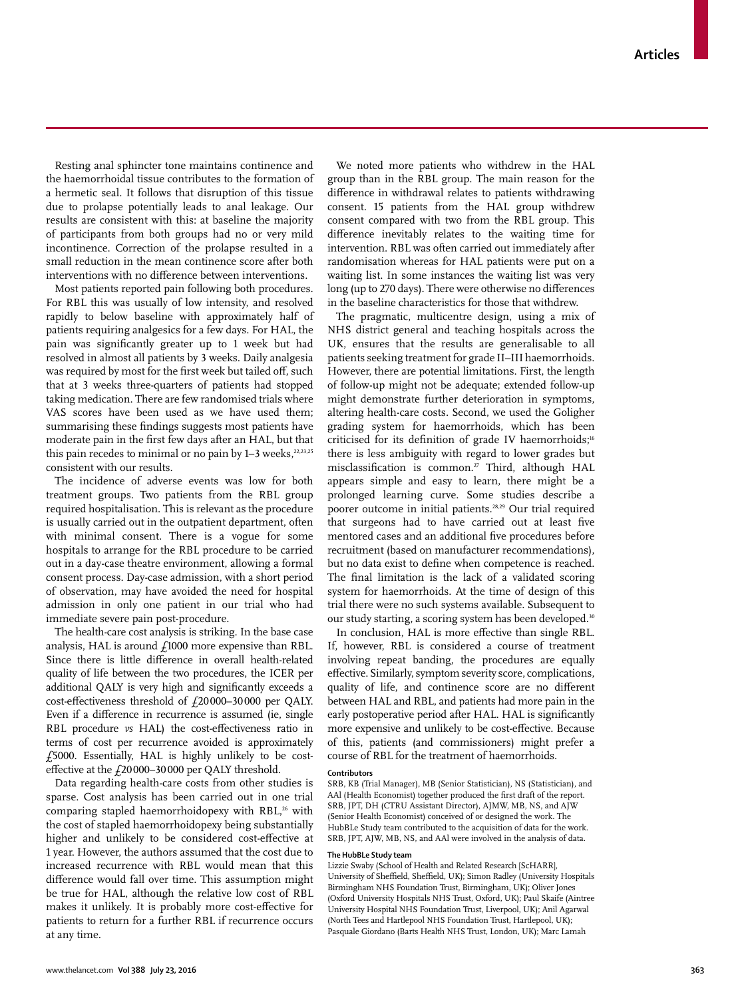Resting anal sphincter tone maintains continence and the haemorrhoidal tissue contributes to the formation of a hermetic seal. It follows that disruption of this tissue due to prolapse potentially leads to anal leakage. Our results are consistent with this: at baseline the majority of participants from both groups had no or very mild incontinence. Correction of the prolapse resulted in a small reduction in the mean continence score after both interventions with no difference between interventions.

Most patients reported pain following both procedures. For RBL this was usually of low intensity, and resolved rapidly to below baseline with approximately half of patients requiring analgesics for a few days. For HAL, the pain was significantly greater up to 1 week but had resolved in almost all patients by 3 weeks. Daily analgesia was required by most for the first week but tailed off, such that at 3 weeks three-quarters of patients had stopped taking medication. There are few randomised trials where VAS scores have been used as we have used them; summarising these findings suggests most patients have moderate pain in the first few days after an HAL, but that this pain recedes to minimal or no pain by  $1-3$  weeks,  $22,23,25$ consistent with our results.

The incidence of adverse events was low for both treatment groups. Two patients from the RBL group required hospitalisation. This is relevant as the procedure is usually carried out in the outpatient department, often with minimal consent. There is a vogue for some hospitals to arrange for the RBL procedure to be carried out in a day-case theatre environment, allowing a formal consent process. Day-case admission, with a short period of observation, may have avoided the need for hospital admission in only one patient in our trial who had immediate severe pain post-procedure.

The health-care cost analysis is striking. In the base case analysis, HAL is around  $f1000$  more expensive than RBL. Since there is little difference in overall health-related quality of life between the two procedures, the ICER per additional QALY is very high and significantly exceeds a cost-effectiveness threshold of  $f$ 20000–30000 per QALY. Even if a difference in recurrence is assumed (ie, single RBL procedure *vs* HAL) the cost-effectiveness ratio in terms of cost per recurrence avoided is approximately £5000. Essentially, HAL is highly unlikely to be costeffective at the  $f20000-30000$  per QALY threshold.

Data regarding health-care costs from other studies is sparse. Cost analysis has been carried out in one trial comparing stapled haemorrhoidopexy with RBL,<sup>26</sup> with the cost of stapled haemorrhoidopexy being substantially higher and unlikely to be considered cost-effective at 1 year. However, the authors assumed that the cost due to increased recurrence with RBL would mean that this difference would fall over time. This assumption might be true for HAL, although the relative low cost of RBL makes it unlikely. It is probably more cost-effective for patients to return for a further RBL if recurrence occurs at any time.

We noted more patients who withdrew in the HAL group than in the RBL group. The main reason for the difference in withdrawal relates to patients withdrawing consent. 15 patients from the HAL group withdrew consent compared with two from the RBL group. This difference inevitably relates to the waiting time for intervention. RBL was often carried out immediately after randomisation whereas for HAL patients were put on a waiting list. In some instances the waiting list was very long (up to 270 days). There were otherwise no differences in the baseline characteristics for those that withdrew.

The pragmatic, multicentre design, using a mix of NHS district general and teaching hospitals across the UK, ensures that the results are generalisable to all patients seeking treatment for grade II–III haemorrhoids. However, there are potential limitations. First, the length of follow-up might not be adequate; extended follow-up might demonstrate further deterioration in symptoms, altering health-care costs. Second, we used the Goligher grading system for haemorrhoids, which has been criticised for its definition of grade IV haemorrhoids;<sup>16</sup> there is less ambiguity with regard to lower grades but misclassification is common.<sup>27</sup> Third, although HAL appears simple and easy to learn, there might be a prolonged learning curve. Some studies describe a poorer outcome in initial patients.28,29 Our trial required that surgeons had to have carried out at least five mentored cases and an additional five procedures before recruitment (based on manufacturer recommendations), but no data exist to define when competence is reached. The final limitation is the lack of a validated scoring system for haemorrhoids. At the time of design of this trial there were no such systems available. Subsequent to our study starting, a scoring system has been developed.30

In conclusion, HAL is more effective than single RBL. If, however, RBL is considered a course of treatment involving repeat banding, the procedures are equally effective. Similarly, symptom severity score, complications, quality of life, and continence score are no different between HAL and RBL, and patients had more pain in the early postoperative period after HAL. HAL is significantly more expensive and unlikely to be cost-effective. Because of this, patients (and commissioners) might prefer a course of RBL for the treatment of haemorrhoids.

#### **Contributors**

SRB, KB (Trial Manager), MB (Senior Statistician), NS (Statistician), and AAl (Health Economist) together produced the first draft of the report. SRB, JPT, DH (CTRU Assistant Director), AJMW, MB, NS, and AJW (Senior Health Economist) conceived of or designed the work. The HubBLe Study team contributed to the acquisition of data for the work. SRB, JPT, AJW, MB, NS, and AAl were involved in the analysis of data.

#### **The HubBLe Study team**

Lizzie Swaby (School of Health and Related Research [ScHARR], University of Sheffield, Sheffield, UK); Simon Radley (University Hospitals Birmingham NHS Foundation Trust, Birmingham, UK); Oliver Jones (Oxford University Hospitals NHS Trust, Oxford, UK); Paul Skaife (Aintree University Hospital NHS Foundation Trust, Liverpool, UK); Anil Agarwal (North Tees and Hartlepool NHS Foundation Trust, Hartlepool, UK); Pasquale Giordano (Barts Health NHS Trust, London, UK); Marc Lamah